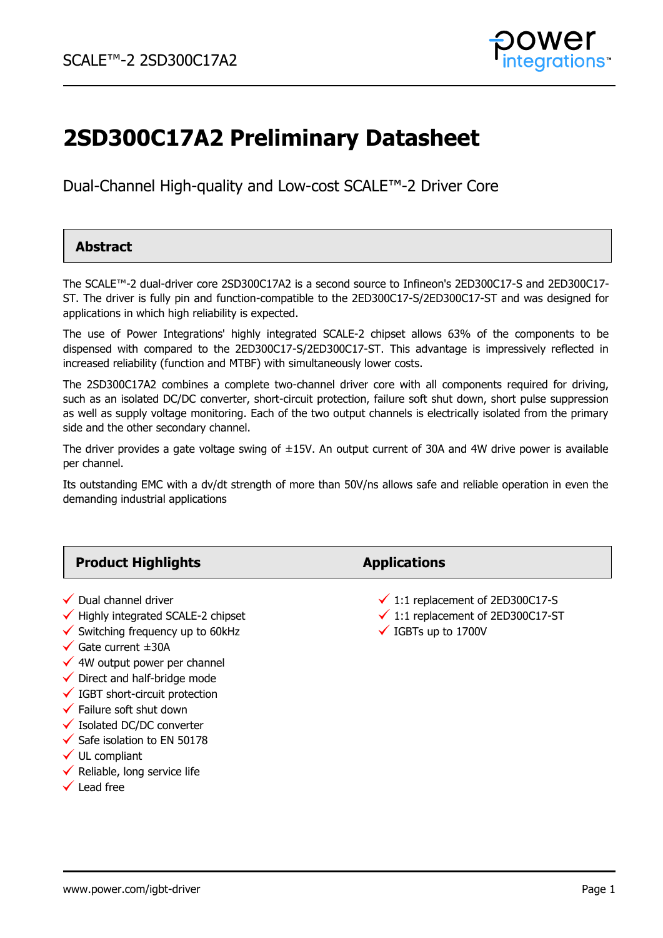

# **2SD300C17A2 Preliminary Datasheet**

Dual-Channel High-quality and Low-cost SCALE™-2 Driver Core

### **Abstract**

The SCALE™-2 dual-driver core 2SD300C17A2 is a second source to Infineon's 2ED300C17-S and 2ED300C17- ST. The driver is fully pin and function-compatible to the 2ED300C17-S/2ED300C17-ST and was designed for applications in which high reliability is expected.

The use of Power Integrations' highly integrated SCALE-2 chipset allows 63% of the components to be dispensed with compared to the 2ED300C17-S/2ED300C17-ST. This advantage is impressively reflected in increased reliability (function and MTBF) with simultaneously lower costs.

The 2SD300C17A2 combines a complete two-channel driver core with all components required for driving, such as an isolated DC/DC converter, short-circuit protection, failure soft shut down, short pulse suppression as well as supply voltage monitoring. Each of the two output channels is electrically isolated from the primary side and the other secondary channel.

The driver provides a gate voltage swing of ±15V. An output current of 30A and 4W drive power is available per channel.

Its outstanding EMC with a dv/dt strength of more than 50V/ns allows safe and reliable operation in even the demanding industrial applications

| <b>Product Highlights</b>                                                                                                                                                                                                                                                                                                                                                                                                                                                | <b>Applications</b>                                                                                                           |
|--------------------------------------------------------------------------------------------------------------------------------------------------------------------------------------------------------------------------------------------------------------------------------------------------------------------------------------------------------------------------------------------------------------------------------------------------------------------------|-------------------------------------------------------------------------------------------------------------------------------|
| $\checkmark$ Dual channel driver<br>$\checkmark$ Highly integrated SCALE-2 chipset<br>$\checkmark$ Switching frequency up to 60kHz<br>$\checkmark$ Gate current $\pm 30$ A<br>$\checkmark$ 4W output power per channel<br>$\checkmark$ Direct and half-bridge mode<br>$\checkmark$ IGBT short-circuit protection<br>$\checkmark$ Failure soft shut down<br>$\checkmark$ Isolated DC/DC converter<br>$\checkmark$ Safe isolation to EN 50178<br>$\checkmark$ UL compliant | $\checkmark$ 1:1 replacement of 2ED300C17-S<br>$\checkmark$ 1:1 replacement of 2ED300C17-ST<br>$\checkmark$ IGBTs up to 1700V |

- $\checkmark$  Reliable, long service life
- $\checkmark$  Lead free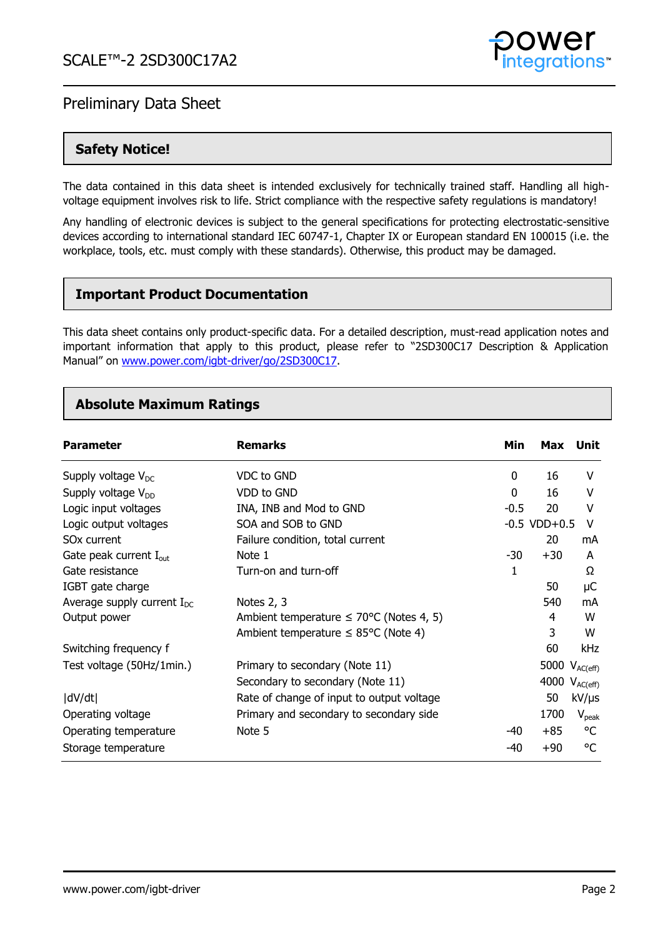

### **Safety Notice!**

The data contained in this data sheet is intended exclusively for technically trained staff. Handling all highvoltage equipment involves risk to life. Strict compliance with the respective safety regulations is mandatory!

Any handling of electronic devices is subject to the general specifications for protecting electrostatic-sensitive devices according to international standard IEC 60747-1, Chapter IX or European standard EN 100015 (i.e. the workplace, tools, etc. must comply with these standards). Otherwise, this product may be damaged.

### **Important Product Documentation**

This data sheet contains only product-specific data. For a detailed description, must-read application notes and important information that apply to this product, please refer to "2SD300C17 Description & Application Manual" on [www.power.com/igbt-driver/go/2SD300C17.](http://www.power.com/igbt-driver/go/2SD300C17)

### **Absolute Maximum Ratings**

| <b>Parameter</b>                   | <b>Remarks</b>                                       | Min          | Max               | Unit               |
|------------------------------------|------------------------------------------------------|--------------|-------------------|--------------------|
| Supply voltage $V_{DC}$            | VDC to GND                                           | 0            | 16                | V                  |
| Supply voltage $V_{DD}$            | VDD to GND                                           | 0            | 16                | v                  |
| Logic input voltages               | INA, INB and Mod to GND                              | $-0.5$       | 20                | v                  |
| Logic output voltages              | SOA and SOB to GND                                   |              | $-0.5$ VDD $+0.5$ | V                  |
| SO <sub>x</sub> current            | Failure condition, total current                     |              | 20                | mA                 |
| Gate peak current $I_{\text{out}}$ | Note 1                                               | $-30$        | $+30$             | A                  |
| Gate resistance                    | Turn-on and turn-off                                 | $\mathbf{1}$ |                   | Ω                  |
| IGBT gate charge                   |                                                      |              | 50                | μC                 |
| Average supply current $I_{DC}$    | Notes 2, 3                                           |              | 540               | mA                 |
| Output power                       | Ambient temperature $\leq 70^{\circ}$ C (Notes 4, 5) |              | 4                 | W                  |
|                                    | Ambient temperature $\leq$ 85°C (Note 4)             |              | 3                 | W                  |
| Switching frequency f              |                                                      |              | 60                | kHz                |
| Test voltage (50Hz/1min.)          | Primary to secondary (Note 11)                       |              |                   | 5000 $V_{AC(eff)}$ |
|                                    | Secondary to secondary (Note 11)                     |              |                   | 4000 $V_{AC(eff)}$ |
| dV/dt                              | Rate of change of input to output voltage            |              | 50                | $kV/\mu s$         |
| Operating voltage                  | Primary and secondary to secondary side              |              | 1700              | $V_{peak}$         |
| Operating temperature              | Note 5                                               | $-40$        | $+85$             | °C                 |
| Storage temperature                |                                                      | -40          | $+90$             | °C                 |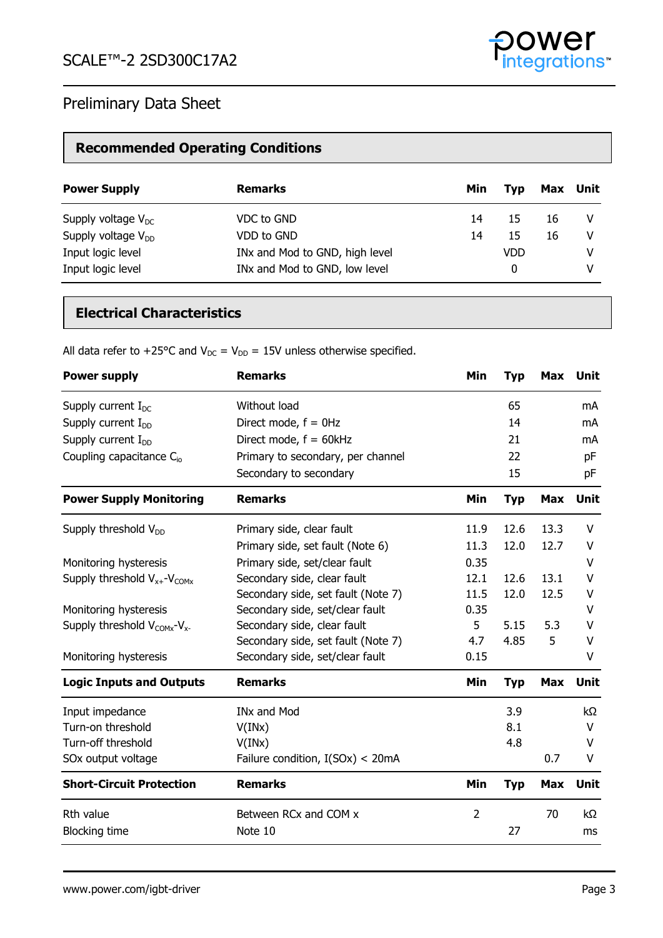

# **Recommended Operating Conditions**

| <b>Power Supply</b>     | <b>Remarks</b>                 | Min | Tvp        | Max | Unit |
|-------------------------|--------------------------------|-----|------------|-----|------|
| Supply voltage $V_{DC}$ | VDC to GND                     | 14  | 15         | 16  | V    |
| Supply voltage $V_{DD}$ | VDD to GND                     | 14  | 15         | 16  | V    |
| Input logic level       | INx and Mod to GND, high level |     | <b>VDD</b> |     | v    |
| Input logic level       | INx and Mod to GND, low level  |     | 0          |     | V    |

# **Electrical Characteristics**

All data refer to +25°C and  $V_{DC} = V_{DD} = 15V$  unless otherwise specified.

| <b>Power supply</b>                          | <b>Remarks</b>                     | Min            | <b>Typ</b> | <b>Max</b> | Unit        |
|----------------------------------------------|------------------------------------|----------------|------------|------------|-------------|
| Supply current $I_{DC}$                      | Without load                       |                | 65         |            | mA          |
| Supply current $I_{DD}$                      | Direct mode, $f = 0$ Hz            |                | 14         |            | mA          |
| Supply current $I_{DD}$                      | Direct mode, $f = 60kHz$           |                | 21         |            | mA          |
| Coupling capacitance $C_{io}$                | Primary to secondary, per channel  |                | 22         |            | pF          |
|                                              | Secondary to secondary             |                | 15         |            | pF          |
| <b>Power Supply Monitoring</b>               | <b>Remarks</b>                     | Min            | <b>Typ</b> | Max        | Unit        |
| Supply threshold $V_{DD}$                    | Primary side, clear fault          | 11.9           | 12.6       | 13.3       | v           |
|                                              | Primary side, set fault (Note 6)   | 11.3           | 12.0       | 12.7       | v           |
| Monitoring hysteresis                        | Primary side, set/clear fault      | 0.35           |            |            | V           |
| Supply threshold $V_{x+}$ - $V_{COMx}$       | Secondary side, clear fault        | 12.1           | 12.6       | 13.1       | V           |
|                                              | Secondary side, set fault (Note 7) | 11.5           | 12.0       | 12.5       | V           |
| Monitoring hysteresis                        | Secondary side, set/clear fault    | 0.35           |            |            | V           |
| Supply threshold $V_{COMx}$ -V <sub>x-</sub> | Secondary side, clear fault        | 5              | 5.15       | 5.3        | v           |
|                                              | Secondary side, set fault (Note 7) | 4.7            | 4.85       | 5          | V           |
| Monitoring hysteresis                        | Secondary side, set/clear fault    | 0.15           |            |            | V           |
| <b>Logic Inputs and Outputs</b>              | <b>Remarks</b>                     | Min            | <b>Typ</b> | <b>Max</b> | <b>Unit</b> |
| Input impedance                              | <b>INx and Mod</b>                 |                | 3.9        |            | kΩ          |
| Turn-on threshold                            | V(INx)                             |                | 8.1        |            | V           |
| Turn-off threshold                           | V(INx)                             |                | 4.8        |            | V           |
| SOx output voltage                           | Failure condition, $I(SOx) < 20mA$ |                |            | 0.7        | V           |
| <b>Short-Circuit Protection</b>              | <b>Remarks</b>                     | Min            | <b>Typ</b> | <b>Max</b> | <b>Unit</b> |
| Rth value                                    | Between RCx and COM x              | $\overline{2}$ |            | 70         | $k\Omega$   |
| <b>Blocking time</b>                         | Note 10                            |                | 27         |            | ms          |

tegrations<sup>-</sup>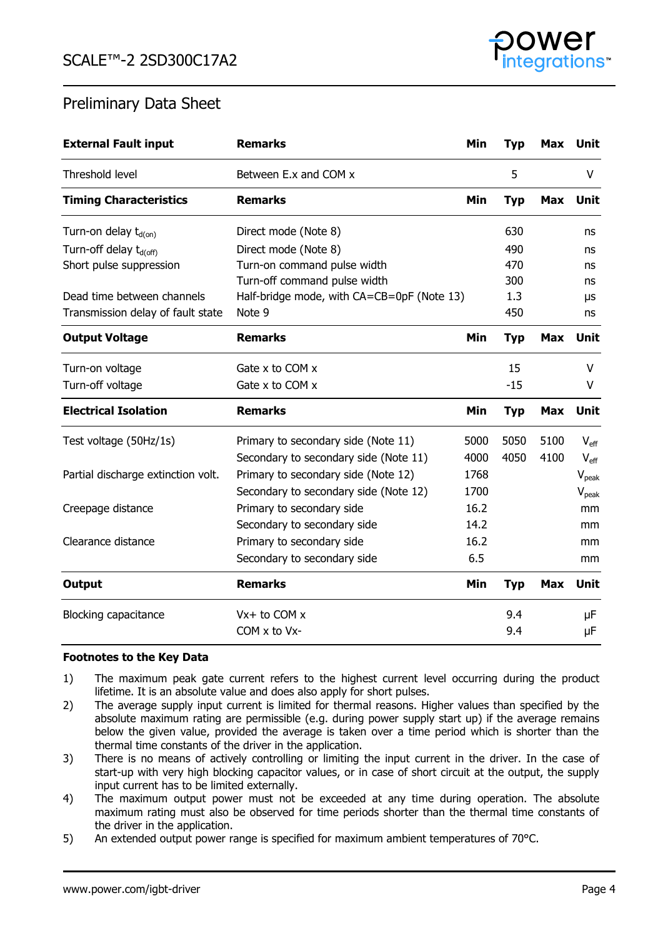

| <b>External Fault input</b>        | <b>Remarks</b>                             | Min  | <b>Typ</b> | Max        | Unit                         |
|------------------------------------|--------------------------------------------|------|------------|------------|------------------------------|
| Threshold level                    | Between E.x and COM x                      |      | 5          |            | V                            |
| <b>Timing Characteristics</b>      | <b>Remarks</b>                             | Min  | <b>Typ</b> | <b>Max</b> | <b>Unit</b>                  |
| Turn-on delay t <sub>d(on)</sub>   | Direct mode (Note 8)                       |      | 630        |            | ns                           |
| Turn-off delay t <sub>d(off)</sub> | Direct mode (Note 8)                       |      | 490        |            | ns                           |
| Short pulse suppression            | Turn-on command pulse width                |      | 470        |            | ns                           |
|                                    | Turn-off command pulse width               |      | 300        |            | ns                           |
| Dead time between channels         | Half-bridge mode, with CA=CB=0pF (Note 13) |      | 1.3        |            | μs                           |
| Transmission delay of fault state  | Note 9                                     |      | 450        |            | ns                           |
| <b>Output Voltage</b>              | <b>Remarks</b>                             | Min  | <b>Typ</b> | Max        | Unit                         |
| Turn-on voltage                    | Gate $x$ to COM $x$                        |      | 15         |            | $\vee$                       |
| Turn-off voltage                   | Gate $x$ to COM $x$                        |      | $-15$      |            | V                            |
| <b>Electrical Isolation</b>        | <b>Remarks</b>                             | Min  | <b>Typ</b> | <b>Max</b> | Unit                         |
| Test voltage (50Hz/1s)             | Primary to secondary side (Note 11)        | 5000 | 5050       | 5100       | $V_{\text{eff}}$             |
|                                    | Secondary to secondary side (Note 11)      | 4000 | 4050       | 4100       | $V_{\text{eff}}$             |
| Partial discharge extinction volt. | Primary to secondary side (Note 12)        | 1768 |            |            | $V_{peak}$                   |
|                                    | Secondary to secondary side (Note 12)      | 1700 |            |            | $\mathsf{V}_{\mathsf{peak}}$ |
| Creepage distance                  | Primary to secondary side                  | 16.2 |            |            | mm                           |
|                                    | Secondary to secondary side                | 14.2 |            |            | mm                           |
| Clearance distance                 | Primary to secondary side                  | 16.2 |            |            | mm                           |
|                                    | Secondary to secondary side                | 6.5  |            |            | mm                           |
| Output                             | <b>Remarks</b>                             | Min  | <b>Typ</b> | Max        | <b>Unit</b>                  |
| <b>Blocking capacitance</b>        | $Vx + to COM x$                            |      | 9.4        |            | μF                           |
|                                    | $COM \times$ to V $x$ -                    |      | 9.4        |            | μF                           |

### **Footnotes to the Key Data**

- 1) The maximum peak gate current refers to the highest current level occurring during the product lifetime. It is an absolute value and does also apply for short pulses.
- 2) The average supply input current is limited for thermal reasons. Higher values than specified by the absolute maximum rating are permissible (e.g. during power supply start up) if the average remains below the given value, provided the average is taken over a time period which is shorter than the thermal time constants of the driver in the application.
- 3) There is no means of actively controlling or limiting the input current in the driver. In the case of start-up with very high blocking capacitor values, or in case of short circuit at the output, the supply input current has to be limited externally.
- 4) The maximum output power must not be exceeded at any time during operation. The absolute maximum rating must also be observed for time periods shorter than the thermal time constants of the driver in the application.
- 5) An extended output power range is specified for maximum ambient temperatures of 70°C.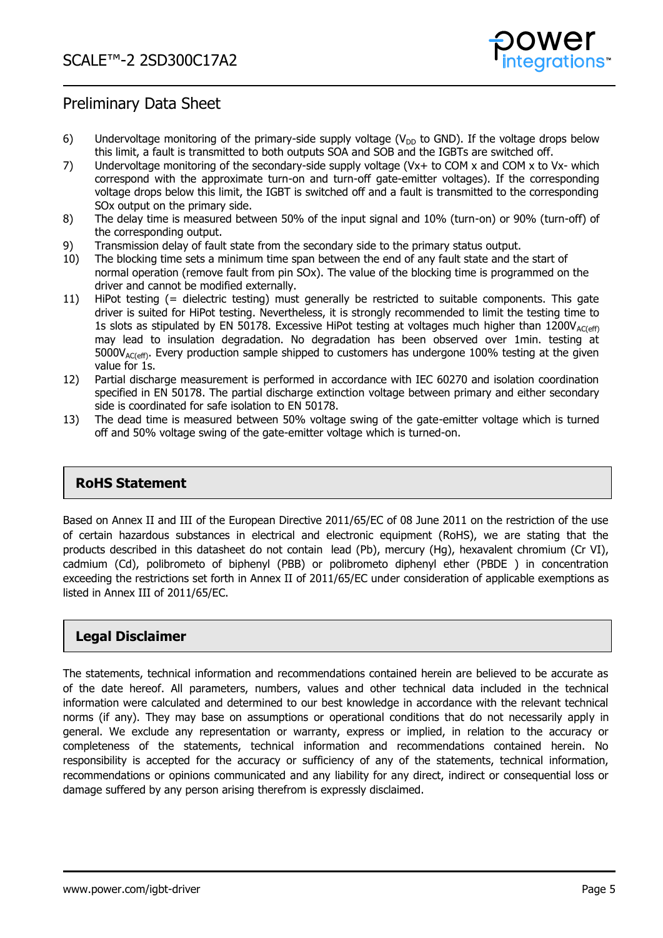

- 6) Undervoltage monitoring of the primary-side supply voltage ( $V_{DD}$  to GND). If the voltage drops below this limit, a fault is transmitted to both outputs SOA and SOB and the IGBTs are switched off.
- 7) Undervoltage monitoring of the secondary-side supply voltage (Vx+ to COM x and COM x to Vx- which correspond with the approximate turn-on and turn-off gate-emitter voltages). If the corresponding voltage drops below this limit, the IGBT is switched off and a fault is transmitted to the corresponding SOx output on the primary side.
- 8) The delay time is measured between 50% of the input signal and 10% (turn-on) or 90% (turn-off) of the corresponding output.
- 9) Transmission delay of fault state from the secondary side to the primary status output.
- 10) The blocking time sets a minimum time span between the end of any fault state and the start of normal operation (remove fault from pin SOx). The value of the blocking time is programmed on the driver and cannot be modified externally.
- 11) HiPot testing (= dielectric testing) must generally be restricted to suitable components. This gate driver is suited for HiPot testing. Nevertheless, it is strongly recommended to limit the testing time to 1s slots as stipulated by EN 50178. Excessive HiPot testing at voltages much higher than  $1200V_{AC(eff)}$ may lead to insulation degradation. No degradation has been observed over 1min. testing at  $5000V_{AC(eff)}$ . Every production sample shipped to customers has undergone 100% testing at the given value for 1s.
- 12) Partial discharge measurement is performed in accordance with IEC 60270 and isolation coordination specified in EN 50178. The partial discharge extinction voltage between primary and either secondary side is coordinated for safe isolation to EN 50178.
- 13) The dead time is measured between 50% voltage swing of the gate-emitter voltage which is turned off and 50% voltage swing of the gate-emitter voltage which is turned-on.

### **RoHS Statement**

Based on Annex II and III of the European Directive 2011/65/EC of 08 June 2011 on the restriction of the use of certain hazardous substances in electrical and electronic equipment (RoHS), we are stating that the products described in this datasheet do not contain lead (Pb), mercury (Hg), hexavalent chromium (Cr VI), cadmium (Cd), polibrometo of biphenyl (PBB) or polibrometo diphenyl ether (PBDE ) in concentration exceeding the restrictions set forth in Annex II of 2011/65/EC under consideration of applicable exemptions as listed in Annex III of 2011/65/EC.

### **Legal Disclaimer**

The statements, technical information and recommendations contained herein are believed to be accurate as of the date hereof. All parameters, numbers, values and other technical data included in the technical information were calculated and determined to our best knowledge in accordance with the relevant technical norms (if any). They may base on assumptions or operational conditions that do not necessarily apply in general. We exclude any representation or warranty, express or implied, in relation to the accuracy or completeness of the statements, technical information and recommendations contained herein. No responsibility is accepted for the accuracy or sufficiency of any of the statements, technical information, recommendations or opinions communicated and any liability for any direct, indirect or consequential loss or damage suffered by any person arising therefrom is expressly disclaimed.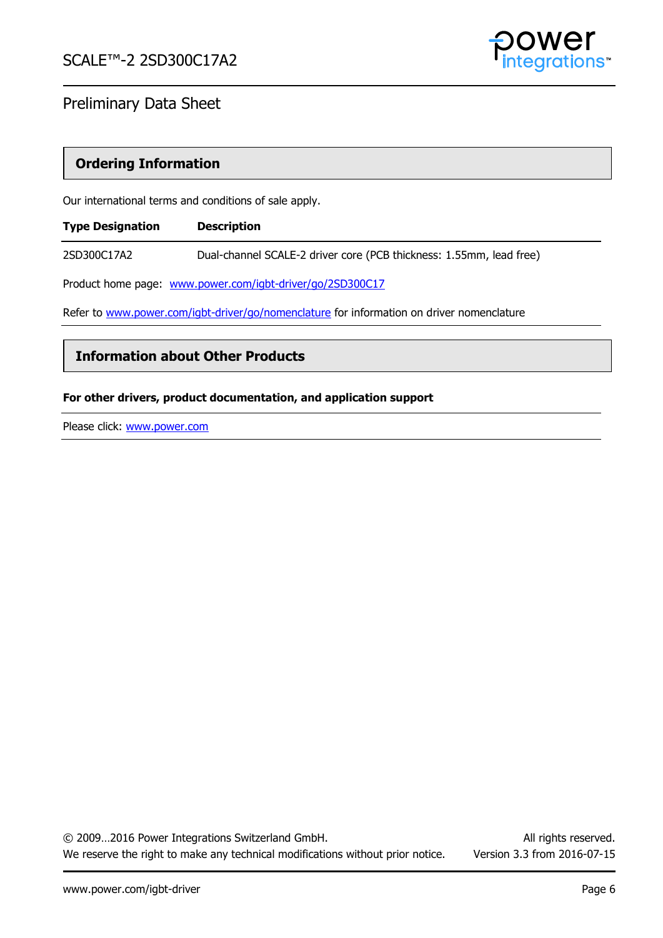

### **Ordering Information**

Our international terms and conditions of sale apply.

| <b>Type Designation</b> | <b>Description</b>                                                                        |
|-------------------------|-------------------------------------------------------------------------------------------|
| 2SD300C17A2             | Dual-channel SCALE-2 driver core (PCB thickness: 1.55mm, lead free)                       |
|                         | Product home page: www.power.com/igbt-driver/go/2SD300C17                                 |
|                         | Refer to www.power.com/igbt-driver/go/nomenclature for information on driver nomenclature |

**Information about Other Products** 

### **For other drivers, product documentation, and application support**

Please click: [www.power.com](http://www.power.com/)

© 2009…2016 Power Integrations Switzerland GmbH. All rights reserved. We reserve the right to make any technical modifications without prior notice. Version 3.3 from 2016-07-15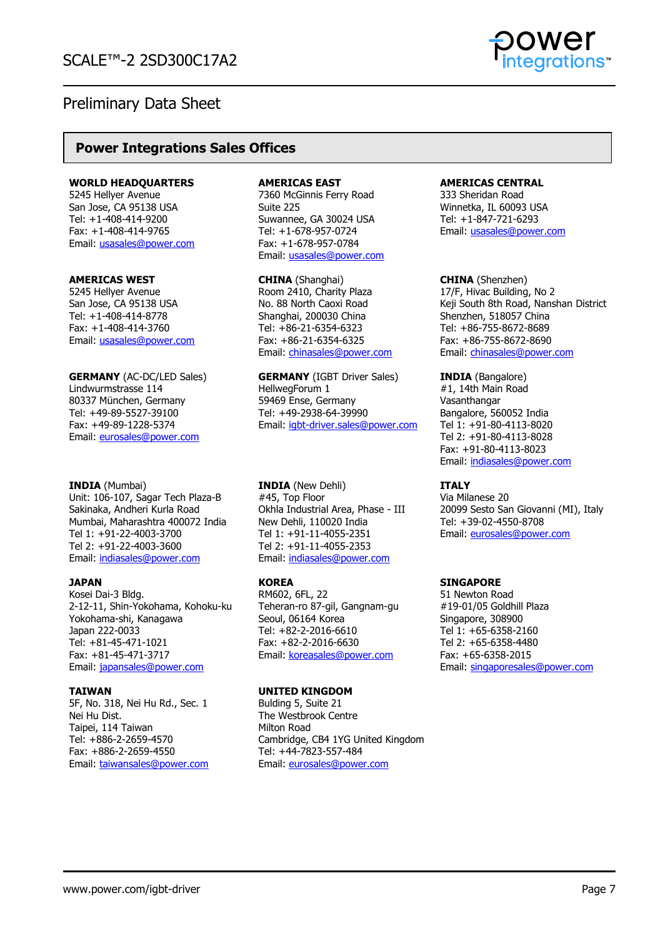

### **Power Integrations Sales Offices**

#### **WORLD HEADQUARTERS**

5245 Hellyer Avenue San Jose, CA 95138 USA Tel: +1-408-414-9200 Fax: +1-408-414-9765 Email: [usasales@power.com](mailto:usasales@power.com)

#### **AMERICAS WEST**

5245 Hellyer Avenue San Jose, CA 95138 USA Tel: +1-408-414-8778 Fax: +1-408-414-3760 Email: [usasales@power.com](mailto:usasales@power.com)

**GERMANY** (AC-DC/LED Sales) Lindwurmstrasse 114 80337 München, Germany Tel: +49-89-5527-39100 Fax: +49-89-1228-5374 Email: [eurosales@power.com](mailto:eurosales@power.com)

#### **INDIA** (Mumbai)

Unit: 106-107, Sagar Tech Plaza-B Sakinaka, Andheri Kurla Road Mumbai, Maharashtra 400072 India Tel 1: +91-22-4003-3700 Tel 2: +91-22-4003-3600 Email: [indiasales@power.com](mailto:indiasales@power.com)

### **JAPAN**

Kosei Dai-3 Bldg. 2-12-11, Shin-Yokohama, Kohoku-ku Yokohama-shi, Kanagawa Japan 222-0033 Tel: +81-45-471-1021 Fax: +81-45-471-3717 Email: [japansales@power.com](mailto:japansales@power.com)

### **TAIWAN**

5F, No. 318, Nei Hu Rd., Sec. 1 Nei Hu Dist. Taipei, 114 Taiwan Tel: +886-2-2659-4570 Fax: +886-2-2659-4550 Email: [taiwansales@power.com](mailto:taiwansales@power.com)

#### **AMERICAS EAST**

7360 McGinnis Ferry Road Suite 225 Suwannee, GA 30024 USA Tel: +1-678-957-0724 Fax: +1-678-957-0784 Email: [usasales@power.com](mailto:usasales@power.com)

**CHINA** (Shanghai) Room 2410, Charity Plaza No. 88 North Caoxi Road Shanghai, 200030 China Tel: +86-21-6354-6323 Fax: +86-21-6354-6325 Email: [chinasales@power.com](mailto:chinasales@power.com)

**GERMANY** (IGBT Driver Sales) HellwegForum 1 59469 Ense, Germany Tel: +49-2938-64-39990 Email: [igbt-driver.sales@power.com](mailto:igbt-driver.sales@power.com)

**INDIA** (New Dehli) #45, Top Floor Okhla Industrial Area, Phase - III New Dehli, 110020 India Tel 1: +91-11-4055-2351 Tel 2: +91-11-4055-2353 Email: [indiasales@power.com](mailto:indiasales@power.com)

### **KOREA**

RM602, 6FL, 22 Teheran-ro 87-gil, Gangnam-gu Seoul, 06164 Korea Tel: +82-2-2016-6610 Fax: +82-2-2016-6630 Email: [koreasales@power.com](mailto:koreasales@power.com)

### **UNITED KINGDOM**

Bulding 5, Suite 21 The Westbrook Centre Milton Road Cambridge, CB4 1YG United Kingdom Tel: +44-7823-557-484 Email: [eurosales@power.com](mailto:eurosales@power.com)

#### **AMERICAS CENTRAL**

333 Sheridan Road Winnetka, IL 60093 USA Tel: +1-847-721-6293 Email: [usasales@power.com](mailto:usasales@power.com)

**CHINA** (Shenzhen) 17/F, Hivac Building, No 2 Keji South 8th Road, Nanshan District Shenzhen, 518057 China Tel: +86-755-8672-8689 Fax: +86-755-8672-8690 Email: [chinasales@power.com](mailto:chinasales@power.com)

**INDIA** (Bangalore) #1, 14th Main Road **Vasanthangar** Bangalore, 560052 India Tel 1: +91-80-4113-8020 Tel 2: +91-80-4113-8028 Fax: +91-80-4113-8023 Email: [indiasales@power.com](mailto:indiasales@power.com)

### **ITALY**

Via Milanese 20 20099 Sesto San Giovanni (MI), Italy Tel: +39-02-4550-8708 Email: [eurosales@power.com](mailto:eurosales@power.com)

### **SINGAPORE**

51 Newton Road #19-01/05 Goldhill Plaza Singapore, 308900 Tel 1: +65-6358-2160 Tel 2: +65-6358-4480 Fax: +65-6358-2015 Email: [singaporesales@power.com](mailto:singaporesales@power.com)